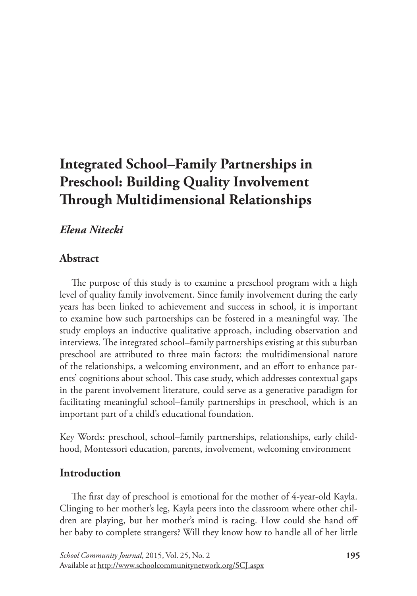# **Integrated School–Family Partnerships in Preschool: Building Quality Involvement Through Multidimensional Relationships**

# *Elena Nitecki*

# **Abstract**

The purpose of this study is to examine a preschool program with a high level of quality family involvement. Since family involvement during the early years has been linked to achievement and success in school, it is important to examine how such partnerships can be fostered in a meaningful way. The study employs an inductive qualitative approach, including observation and interviews. The integrated school–family partnerships existing at this suburban preschool are attributed to three main factors: the multidimensional nature of the relationships, a welcoming environment, and an effort to enhance parents' cognitions about school. This case study, which addresses contextual gaps in the parent involvement literature, could serve as a generative paradigm for facilitating meaningful school–family partnerships in preschool, which is an important part of a child's educational foundation.

Key Words: preschool, school–family partnerships, relationships, early childhood, Montessori education, parents, involvement, welcoming environment

# **Introduction**

The first day of preschool is emotional for the mother of 4-year-old Kayla. Clinging to her mother's leg, Kayla peers into the classroom where other children are playing, but her mother's mind is racing. How could she hand off her baby to complete strangers? Will they know how to handle all of her little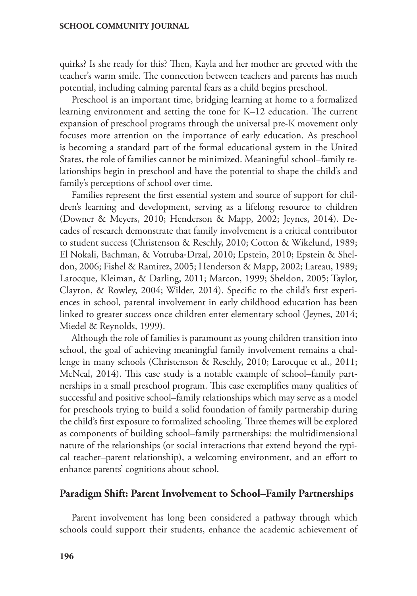quirks? Is she ready for this? Then, Kayla and her mother are greeted with the teacher's warm smile. The connection between teachers and parents has much potential, including calming parental fears as a child begins preschool.

Preschool is an important time, bridging learning at home to a formalized learning environment and setting the tone for K–12 education. The current expansion of preschool programs through the universal pre-K movement only focuses more attention on the importance of early education. As preschool is becoming a standard part of the formal educational system in the United States, the role of families cannot be minimized. Meaningful school–family relationships begin in preschool and have the potential to shape the child's and family's perceptions of school over time.

Families represent the first essential system and source of support for children's learning and development, serving as a lifelong resource to children (Downer & Meyers, 2010; Henderson & Mapp, 2002; Jeynes, 2014). Decades of research demonstrate that family involvement is a critical contributor to student success (Christenson & Reschly, 2010; Cotton & Wikelund, 1989; El Nokali, Bachman, & Votruba‐Drzal, 2010; Epstein, 2010; Epstein & Sheldon, 2006; Fishel & Ramirez, 2005; Henderson & Mapp, 2002; Lareau, 1989; Larocque, Kleiman, & Darling, 2011; Marcon, 1999; Sheldon, 2005; Taylor, Clayton, & Rowley, 2004; Wilder, 2014). Specific to the child's first experiences in school, parental involvement in early childhood education has been linked to greater success once children enter elementary school (Jeynes, 2014; Miedel & Reynolds, 1999).

Although the role of families is paramount as young children transition into school, the goal of achieving meaningful family involvement remains a challenge in many schools (Christenson & Reschly, 2010; Larocque et al., 2011; McNeal, 2014). This case study is a notable example of school–family partnerships in a small preschool program. This case exemplifies many qualities of successful and positive school–family relationships which may serve as a model for preschools trying to build a solid foundation of family partnership during the child's first exposure to formalized schooling. Three themes will be explored as components of building school–family partnerships: the multidimensional nature of the relationships (or social interactions that extend beyond the typical teacher–parent relationship), a welcoming environment, and an effort to enhance parents' cognitions about school.

### **Paradigm Shift: Parent Involvement to School–Family Partnerships**

Parent involvement has long been considered a pathway through which schools could support their students, enhance the academic achievement of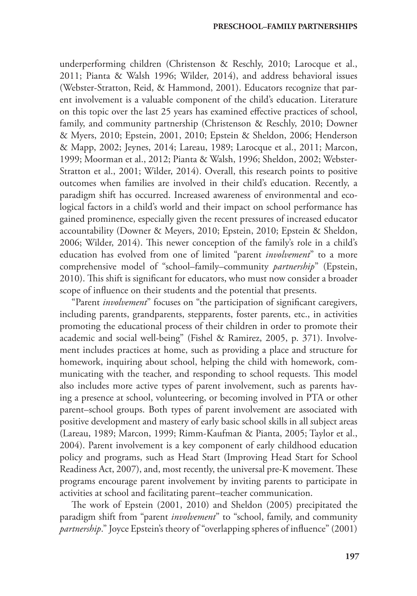underperforming children (Christenson & Reschly, 2010; Larocque et al., 2011; Pianta & Walsh 1996; Wilder, 2014), and address behavioral issues (Webster-Stratton, Reid, & Hammond, 2001). Educators recognize that parent involvement is a valuable component of the child's education. Literature on this topic over the last 25 years has examined effective practices of school, family, and community partnership (Christenson & Reschly, 2010; Downer & Myers, 2010; Epstein, 2001, 2010; Epstein & Sheldon, 2006; Henderson & Mapp, 2002; Jeynes, 2014; Lareau, 1989; Larocque et al., 2011; Marcon, 1999; Moorman et al., 2012; Pianta & Walsh, 1996; Sheldon, 2002; Webster-Stratton et al., 2001; Wilder, 2014). Overall, this research points to positive outcomes when families are involved in their child's education. Recently, a paradigm shift has occurred. Increased awareness of environmental and ecological factors in a child's world and their impact on school performance has gained prominence, especially given the recent pressures of increased educator accountability (Downer & Meyers, 2010; Epstein, 2010; Epstein & Sheldon, 2006; Wilder, 2014). This newer conception of the family's role in a child's education has evolved from one of limited "parent *involvement*" to a more comprehensive model of "school–family–community *partnership*" (Epstein, 2010). This shift is significant for educators, who must now consider a broader scope of influence on their students and the potential that presents.

"Parent *involvement*" focuses on "the participation of significant caregivers, including parents, grandparents, stepparents, foster parents, etc., in activities promoting the educational process of their children in order to promote their academic and social well-being" (Fishel & Ramirez, 2005, p. 371). Involvement includes practices at home, such as providing a place and structure for homework, inquiring about school, helping the child with homework, communicating with the teacher, and responding to school requests. This model also includes more active types of parent involvement, such as parents having a presence at school, volunteering, or becoming involved in PTA or other parent–school groups. Both types of parent involvement are associated with positive development and mastery of early basic school skills in all subject areas (Lareau, 1989; Marcon, 1999; Rimm-Kaufman & Pianta, 2005; Taylor et al., 2004). Parent involvement is a key component of early childhood education policy and programs, such as Head Start (Improving Head Start for School Readiness Act, 2007), and, most recently, the universal pre-K movement. These programs encourage parent involvement by inviting parents to participate in activities at school and facilitating parent–teacher communication.

The work of Epstein (2001, 2010) and Sheldon (2005) precipitated the paradigm shift from "parent *involvement*" to "school, family, and community *partnership*." Joyce Epstein's theory of "overlapping spheres of influence" (2001)

**197**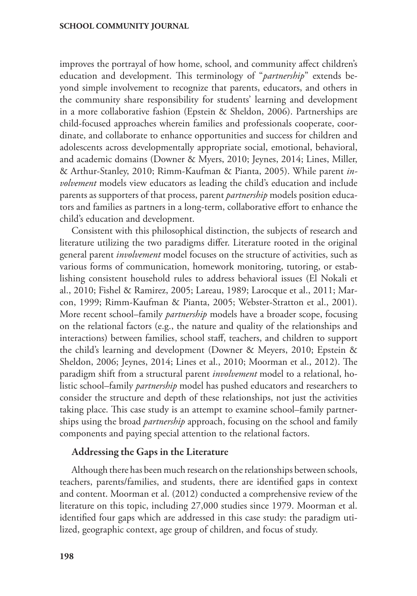improves the portrayal of how home, school, and community affect children's education and development. This terminology of "*partnership*" extends beyond simple involvement to recognize that parents, educators, and others in the community share responsibility for students' learning and development in a more collaborative fashion (Epstein & Sheldon, 2006). Partnerships are child-focused approaches wherein families and professionals cooperate, coordinate, and collaborate to enhance opportunities and success for children and adolescents across developmentally appropriate social, emotional, behavioral, and academic domains (Downer & Myers, 2010; Jeynes, 2014; Lines, Miller, & Arthur-Stanley, 2010; Rimm-Kaufman & Pianta, 2005). While parent *involvement* models view educators as leading the child's education and include parents as supporters of that process, parent *partnership* models position educators and families as partners in a long-term, collaborative effort to enhance the child's education and development.

Consistent with this philosophical distinction, the subjects of research and literature utilizing the two paradigms differ. Literature rooted in the original general parent *involvement* model focuses on the structure of activities, such as various forms of communication, homework monitoring, tutoring, or establishing consistent household rules to address behavioral issues (El Nokali et al., 2010; Fishel & Ramirez, 2005; Lareau, 1989; Larocque et al., 2011; Marcon, 1999; Rimm-Kaufman & Pianta, 2005; Webster-Stratton et al., 2001). More recent school–family *partnership* models have a broader scope, focusing on the relational factors (e.g., the nature and quality of the relationships and interactions) between families, school staff, teachers, and children to support the child's learning and development (Downer & Meyers, 2010; Epstein & Sheldon, 2006; Jeynes, 2014; Lines et al., 2010; Moorman et al., 2012). The paradigm shift from a structural parent *involvement* model to a relational, holistic school–family *partnership* model has pushed educators and researchers to consider the structure and depth of these relationships, not just the activities taking place. This case study is an attempt to examine school–family partnerships using the broad *partnership* approach, focusing on the school and family components and paying special attention to the relational factors.

### Addressing the Gaps in the Literature

Although there has been much research on the relationships between schools, teachers, parents/families, and students, there are identified gaps in context and content. Moorman et al. (2012) conducted a comprehensive review of the literature on this topic, including 27,000 studies since 1979. Moorman et al. identified four gaps which are addressed in this case study: the paradigm utilized, geographic context, age group of children, and focus of study.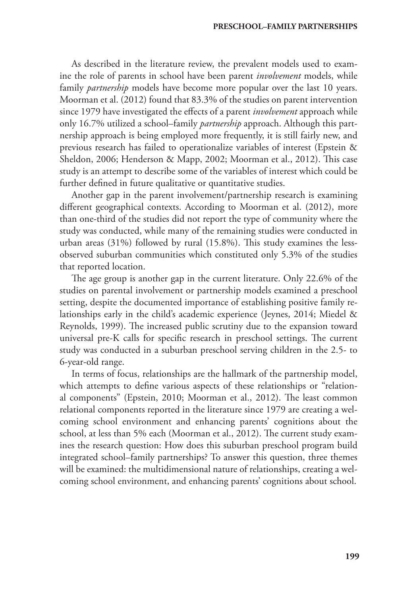As described in the literature review, the prevalent models used to examine the role of parents in school have been parent *involvement* models, while family *partnership* models have become more popular over the last 10 years. Moorman et al. (2012) found that 83.3% of the studies on parent intervention since 1979 have investigated the effects of a parent *involvement* approach while only 16.7% utilized a school–family *partnership* approach. Although this partnership approach is being employed more frequently, it is still fairly new, and previous research has failed to operationalize variables of interest (Epstein & Sheldon, 2006; Henderson & Mapp, 2002; Moorman et al., 2012). This case study is an attempt to describe some of the variables of interest which could be further defined in future qualitative or quantitative studies.

Another gap in the parent involvement/partnership research is examining different geographical contexts. According to Moorman et al. (2012), more than one-third of the studies did not report the type of community where the study was conducted, while many of the remaining studies were conducted in urban areas (31%) followed by rural (15.8%). This study examines the lessobserved suburban communities which constituted only 5.3% of the studies that reported location.

The age group is another gap in the current literature. Only 22.6% of the studies on parental involvement or partnership models examined a preschool setting, despite the documented importance of establishing positive family relationships early in the child's academic experience (Jeynes, 2014; Miedel & Reynolds, 1999). The increased public scrutiny due to the expansion toward universal pre-K calls for specific research in preschool settings. The current study was conducted in a suburban preschool serving children in the 2.5- to 6-year-old range.

In terms of focus, relationships are the hallmark of the partnership model, which attempts to define various aspects of these relationships or "relational components" (Epstein, 2010; Moorman et al., 2012). The least common relational components reported in the literature since 1979 are creating a welcoming school environment and enhancing parents' cognitions about the school, at less than 5% each (Moorman et al., 2012). The current study examines the research question: How does this suburban preschool program build integrated school–family partnerships? To answer this question, three themes will be examined: the multidimensional nature of relationships, creating a welcoming school environment, and enhancing parents' cognitions about school.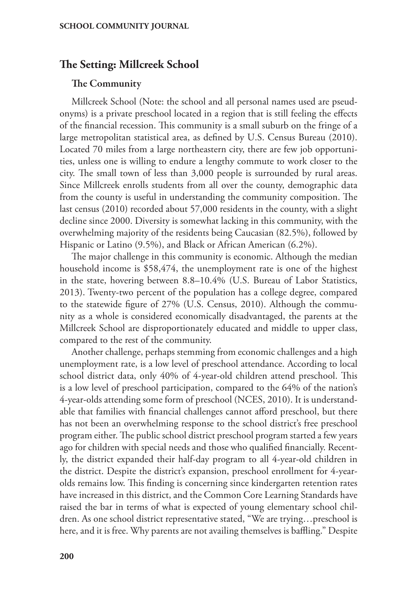# **The Setting: Millcreek School**

#### The Community

Millcreek School (Note: the school and all personal names used are pseudonyms) is a private preschool located in a region that is still feeling the effects of the financial recession. This community is a small suburb on the fringe of a large metropolitan statistical area, as defined by U.S. Census Bureau (2010). Located 70 miles from a large northeastern city, there are few job opportunities, unless one is willing to endure a lengthy commute to work closer to the city. The small town of less than 3,000 people is surrounded by rural areas. Since Millcreek enrolls students from all over the county, demographic data from the county is useful in understanding the community composition. The last census (2010) recorded about 57,000 residents in the county, with a slight decline since 2000. Diversity is somewhat lacking in this community, with the overwhelming majority of the residents being Caucasian (82.5%), followed by Hispanic or Latino (9.5%), and Black or African American (6.2%).

The major challenge in this community is economic. Although the median household income is \$58,474, the unemployment rate is one of the highest in the state, hovering between 8.8–10.4% (U.S. Bureau of Labor Statistics, 2013). Twenty-two percent of the population has a college degree, compared to the statewide figure of 27% (U.S. Census, 2010). Although the community as a whole is considered economically disadvantaged, the parents at the Millcreek School are disproportionately educated and middle to upper class, compared to the rest of the community.

Another challenge, perhaps stemming from economic challenges and a high unemployment rate, is a low level of preschool attendance. According to local school district data, only 40% of 4-year-old children attend preschool. This is a low level of preschool participation, compared to the 64% of the nation's 4-year-olds attending some form of preschool (NCES, 2010). It is understandable that families with financial challenges cannot afford preschool, but there has not been an overwhelming response to the school district's free preschool program either. The public school district preschool program started a few years ago for children with special needs and those who qualified financially. Recently, the district expanded their half-day program to all 4-year-old children in the district. Despite the district's expansion, preschool enrollment for 4-yearolds remains low. This finding is concerning since kindergarten retention rates have increased in this district, and the Common Core Learning Standards have raised the bar in terms of what is expected of young elementary school children. As one school district representative stated, "We are trying…preschool is here, and it is free. Why parents are not availing themselves is baffling." Despite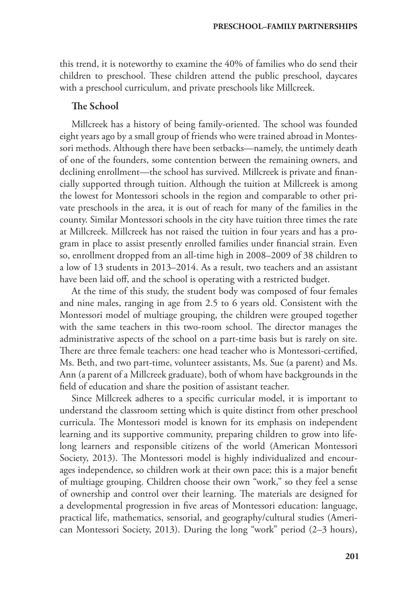this trend, it is noteworthy to examine the 40% of families who do send their children to preschool. These children attend the public preschool, daycares with a preschool curriculum, and private preschools like Millcreek.

### The School

Millcreek has a history of being family-oriented. The school was founded eight years ago by a small group of friends who were trained abroad in Montessori methods. Although there have been setbacks—namely, the untimely death of one of the founders, some contention between the remaining owners, and declining enrollment—the school has survived. Millcreek is private and financially supported through tuition. Although the tuition at Millcreek is among the lowest for Montessori schools in the region and comparable to other private preschools in the area, it is out of reach for many of the families in the county. Similar Montessori schools in the city have tuition three times the rate at Millcreek. Millcreek has not raised the tuition in four years and has a program in place to assist presently enrolled families under financial strain. Even so, enrollment dropped from an all-time high in 2008–2009 of 38 children to a low of 13 students in 2013–2014. As a result, two teachers and an assistant have been laid off, and the school is operating with a restricted budget.

At the time of this study, the student body was composed of four females and nine males, ranging in age from 2.5 to 6 years old. Consistent with the Montessori model of multiage grouping, the children were grouped together with the same teachers in this two-room school. The director manages the administrative aspects of the school on a part-time basis but is rarely on site. There are three female teachers: one head teacher who is Montessori-certified, Ms. Beth, and two part-time, volunteer assistants, Ms. Sue (a parent) and Ms. Ann (a parent of a Millcreek graduate), both of whom have backgrounds in the field of education and share the position of assistant teacher.

Since Millcreek adheres to a specific curricular model, it is important to understand the classroom setting which is quite distinct from other preschool curricula. The Montessori model is known for its emphasis on independent learning and its supportive community, preparing children to grow into lifelong learners and responsible citizens of the world (American Montessori Society, 2013). The Montessori model is highly individualized and encourages independence, so children work at their own pace; this is a major benefit of multiage grouping. Children choose their own "work," so they feel a sense of ownership and control over their learning. The materials are designed for a developmental progression in five areas of Montessori education: language, practical life, mathematics, sensorial, and geography/cultural studies (American Montessori Society, 2013). During the long "work" period (2–3 hours),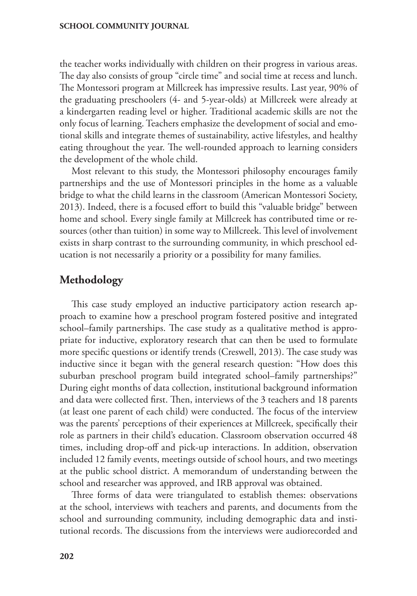the teacher works individually with children on their progress in various areas. The day also consists of group "circle time" and social time at recess and lunch. The Montessori program at Millcreek has impressive results. Last year, 90% of the graduating preschoolers (4- and 5-year-olds) at Millcreek were already at a kindergarten reading level or higher. Traditional academic skills are not the only focus of learning. Teachers emphasize the development of social and emotional skills and integrate themes of sustainability, active lifestyles, and healthy eating throughout the year. The well-rounded approach to learning considers the development of the whole child.

Most relevant to this study, the Montessori philosophy encourages family partnerships and the use of Montessori principles in the home as a valuable bridge to what the child learns in the classroom (American Montessori Society, 2013). Indeed, there is a focused effort to build this "valuable bridge" between home and school. Every single family at Millcreek has contributed time or resources (other than tuition) in some way to Millcreek. This level of involvement exists in sharp contrast to the surrounding community, in which preschool education is not necessarily a priority or a possibility for many families.

# **Methodology**

This case study employed an inductive participatory action research approach to examine how a preschool program fostered positive and integrated school–family partnerships. The case study as a qualitative method is appropriate for inductive, exploratory research that can then be used to formulate more specific questions or identify trends (Creswell, 2013). The case study was inductive since it began with the general research question: "How does this suburban preschool program build integrated school–family partnerships?" During eight months of data collection, institutional background information and data were collected first. Then, interviews of the 3 teachers and 18 parents (at least one parent of each child) were conducted. The focus of the interview was the parents' perceptions of their experiences at Millcreek, specifically their role as partners in their child's education. Classroom observation occurred 48 times, including drop-off and pick-up interactions. In addition, observation included 12 family events, meetings outside of school hours, and two meetings at the public school district. A memorandum of understanding between the school and researcher was approved, and IRB approval was obtained.

Three forms of data were triangulated to establish themes: observations at the school, interviews with teachers and parents, and documents from the school and surrounding community, including demographic data and institutional records. The discussions from the interviews were audiorecorded and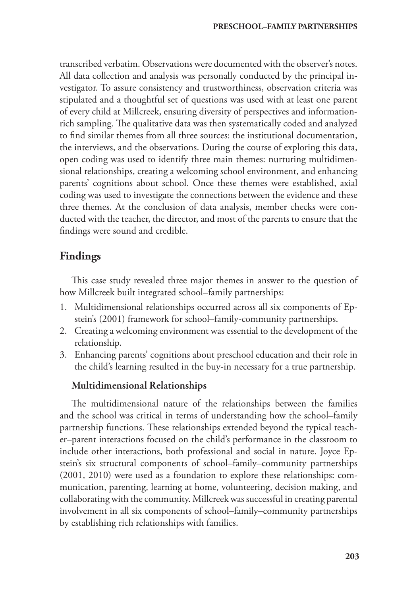transcribed verbatim. Observations were documented with the observer's notes. All data collection and analysis was personally conducted by the principal investigator. To assure consistency and trustworthiness, observation criteria was stipulated and a thoughtful set of questions was used with at least one parent of every child at Millcreek, ensuring diversity of perspectives and informationrich sampling. The qualitative data was then systematically coded and analyzed to find similar themes from all three sources: the institutional documentation, the interviews, and the observations. During the course of exploring this data, open coding was used to identify three main themes: nurturing multidimensional relationships, creating a welcoming school environment, and enhancing parents' cognitions about school. Once these themes were established, axial coding was used to investigate the connections between the evidence and these three themes. At the conclusion of data analysis, member checks were conducted with the teacher, the director, and most of the parents to ensure that the findings were sound and credible.

# **Findings**

This case study revealed three major themes in answer to the question of how Millcreek built integrated school–family partnerships:

- 1. Multidimensional relationships occurred across all six components of Epstein's (2001) framework for school–family-community partnerships.
- 2. Creating a welcoming environment was essential to the development of the relationship.
- 3. Enhancing parents' cognitions about preschool education and their role in the child's learning resulted in the buy-in necessary for a true partnership.

# Multidimensional Relationships

The multidimensional nature of the relationships between the families and the school was critical in terms of understanding how the school–family partnership functions. These relationships extended beyond the typical teacher–parent interactions focused on the child's performance in the classroom to include other interactions, both professional and social in nature. Joyce Epstein's six structural components of school–family–community partnerships (2001, 2010) were used as a foundation to explore these relationships: communication, parenting, learning at home, volunteering, decision making, and collaborating with the community. Millcreek was successful in creating parental involvement in all six components of school–family–community partnerships by establishing rich relationships with families.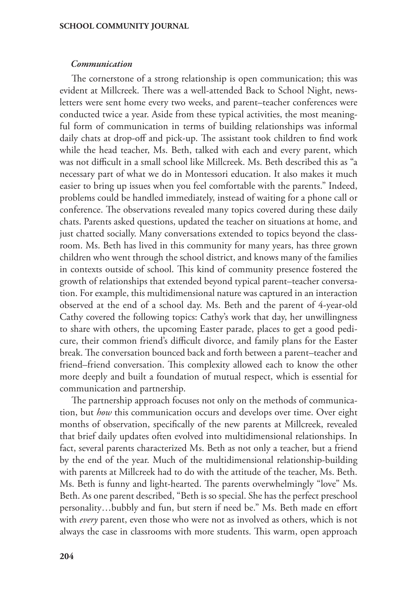#### *Communication*

The cornerstone of a strong relationship is open communication; this was evident at Millcreek. There was a well-attended Back to School Night, newsletters were sent home every two weeks, and parent–teacher conferences were conducted twice a year. Aside from these typical activities, the most meaningful form of communication in terms of building relationships was informal daily chats at drop-off and pick-up. The assistant took children to find work while the head teacher, Ms. Beth, talked with each and every parent, which was not difficult in a small school like Millcreek. Ms. Beth described this as "a necessary part of what we do in Montessori education. It also makes it much easier to bring up issues when you feel comfortable with the parents." Indeed, problems could be handled immediately, instead of waiting for a phone call or conference. The observations revealed many topics covered during these daily chats. Parents asked questions, updated the teacher on situations at home, and just chatted socially. Many conversations extended to topics beyond the classroom. Ms. Beth has lived in this community for many years, has three grown children who went through the school district, and knows many of the families in contexts outside of school. This kind of community presence fostered the growth of relationships that extended beyond typical parent–teacher conversation. For example, this multidimensional nature was captured in an interaction observed at the end of a school day. Ms. Beth and the parent of 4-year-old Cathy covered the following topics: Cathy's work that day, her unwillingness to share with others, the upcoming Easter parade, places to get a good pedicure, their common friend's difficult divorce, and family plans for the Easter break. The conversation bounced back and forth between a parent–teacher and friend–friend conversation. This complexity allowed each to know the other more deeply and built a foundation of mutual respect, which is essential for communication and partnership.

The partnership approach focuses not only on the methods of communication, but *how* this communication occurs and develops over time. Over eight months of observation, specifically of the new parents at Millcreek, revealed that brief daily updates often evolved into multidimensional relationships. In fact, several parents characterized Ms. Beth as not only a teacher, but a friend by the end of the year. Much of the multidimensional relationship-building with parents at Millcreek had to do with the attitude of the teacher, Ms. Beth. Ms. Beth is funny and light-hearted. The parents overwhelmingly "love" Ms. Beth. As one parent described, "Beth is so special. She has the perfect preschool personality…bubbly and fun, but stern if need be." Ms. Beth made en effort with *every* parent, even those who were not as involved as others, which is not always the case in classrooms with more students. This warm, open approach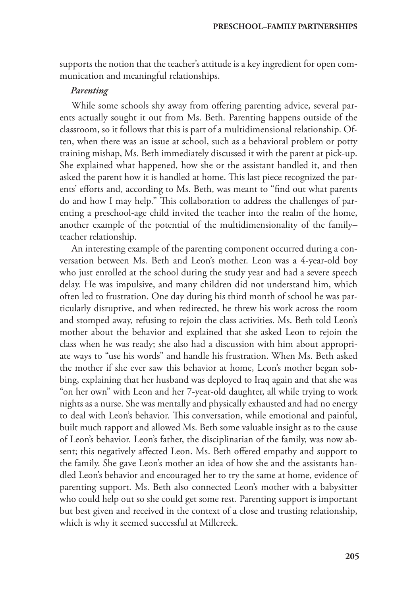supports the notion that the teacher's attitude is a key ingredient for open communication and meaningful relationships.

#### *Parenting*

While some schools shy away from offering parenting advice, several parents actually sought it out from Ms. Beth. Parenting happens outside of the classroom, so it follows that this is part of a multidimensional relationship. Often, when there was an issue at school, such as a behavioral problem or potty training mishap, Ms. Beth immediately discussed it with the parent at pick-up. She explained what happened, how she or the assistant handled it, and then asked the parent how it is handled at home. This last piece recognized the parents' efforts and, according to Ms. Beth, was meant to "find out what parents do and how I may help." This collaboration to address the challenges of parenting a preschool-age child invited the teacher into the realm of the home, another example of the potential of the multidimensionality of the family– teacher relationship.

An interesting example of the parenting component occurred during a conversation between Ms. Beth and Leon's mother. Leon was a 4-year-old boy who just enrolled at the school during the study year and had a severe speech delay. He was impulsive, and many children did not understand him, which often led to frustration. One day during his third month of school he was particularly disruptive, and when redirected, he threw his work across the room and stomped away, refusing to rejoin the class activities. Ms. Beth told Leon's mother about the behavior and explained that she asked Leon to rejoin the class when he was ready; she also had a discussion with him about appropriate ways to "use his words" and handle his frustration. When Ms. Beth asked the mother if she ever saw this behavior at home, Leon's mother began sobbing, explaining that her husband was deployed to Iraq again and that she was "on her own" with Leon and her 7-year-old daughter, all while trying to work nights as a nurse. She was mentally and physically exhausted and had no energy to deal with Leon's behavior. This conversation, while emotional and painful, built much rapport and allowed Ms. Beth some valuable insight as to the cause of Leon's behavior. Leon's father, the disciplinarian of the family, was now absent; this negatively affected Leon. Ms. Beth offered empathy and support to the family. She gave Leon's mother an idea of how she and the assistants handled Leon's behavior and encouraged her to try the same at home, evidence of parenting support. Ms. Beth also connected Leon's mother with a babysitter who could help out so she could get some rest. Parenting support is important but best given and received in the context of a close and trusting relationship, which is why it seemed successful at Millcreek.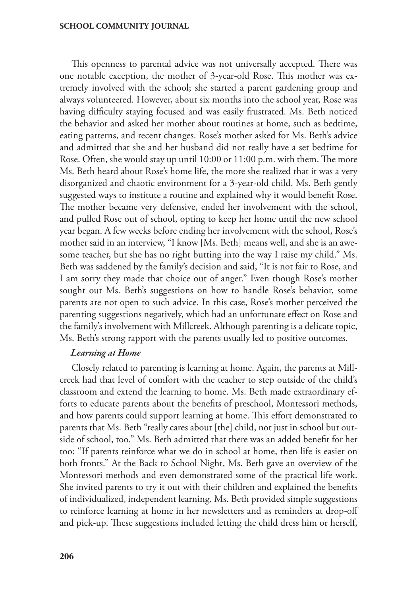This openness to parental advice was not universally accepted. There was one notable exception, the mother of 3-year-old Rose. This mother was extremely involved with the school; she started a parent gardening group and always volunteered. However, about six months into the school year, Rose was having difficulty staying focused and was easily frustrated. Ms. Beth noticed the behavior and asked her mother about routines at home, such as bedtime, eating patterns, and recent changes. Rose's mother asked for Ms. Beth's advice and admitted that she and her husband did not really have a set bedtime for Rose. Often, she would stay up until 10:00 or 11:00 p.m. with them. The more Ms. Beth heard about Rose's home life, the more she realized that it was a very disorganized and chaotic environment for a 3-year-old child. Ms. Beth gently suggested ways to institute a routine and explained why it would benefit Rose. The mother became very defensive, ended her involvement with the school, and pulled Rose out of school, opting to keep her home until the new school year began. A few weeks before ending her involvement with the school, Rose's mother said in an interview, "I know [Ms. Beth] means well, and she is an awesome teacher, but she has no right butting into the way I raise my child." Ms. Beth was saddened by the family's decision and said, "It is not fair to Rose, and I am sorry they made that choice out of anger." Even though Rose's mother sought out Ms. Beth's suggestions on how to handle Rose's behavior, some parents are not open to such advice. In this case, Rose's mother perceived the parenting suggestions negatively, which had an unfortunate effect on Rose and the family's involvement with Millcreek. Although parenting is a delicate topic, Ms. Beth's strong rapport with the parents usually led to positive outcomes.

#### *Learning at Home*

Closely related to parenting is learning at home. Again, the parents at Millcreek had that level of comfort with the teacher to step outside of the child's classroom and extend the learning to home. Ms. Beth made extraordinary efforts to educate parents about the benefits of preschool, Montessori methods, and how parents could support learning at home. This effort demonstrated to parents that Ms. Beth "really cares about [the] child, not just in school but outside of school, too." Ms. Beth admitted that there was an added benefit for her too: "If parents reinforce what we do in school at home, then life is easier on both fronts." At the Back to School Night, Ms. Beth gave an overview of the Montessori methods and even demonstrated some of the practical life work. She invited parents to try it out with their children and explained the benefits of individualized, independent learning. Ms. Beth provided simple suggestions to reinforce learning at home in her newsletters and as reminders at drop-off and pick-up. These suggestions included letting the child dress him or herself,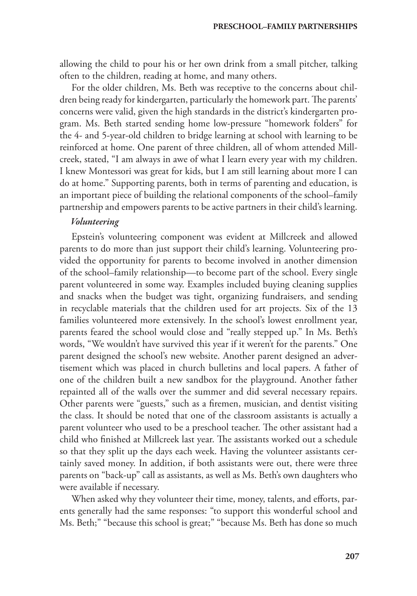allowing the child to pour his or her own drink from a small pitcher, talking often to the children, reading at home, and many others.

For the older children, Ms. Beth was receptive to the concerns about children being ready for kindergarten, particularly the homework part. The parents' concerns were valid, given the high standards in the district's kindergarten program. Ms. Beth started sending home low-pressure "homework folders" for the 4- and 5-year-old children to bridge learning at school with learning to be reinforced at home. One parent of three children, all of whom attended Millcreek, stated, "I am always in awe of what I learn every year with my children. I knew Montessori was great for kids, but I am still learning about more I can do at home." Supporting parents, both in terms of parenting and education, is an important piece of building the relational components of the school–family partnership and empowers parents to be active partners in their child's learning.

#### *Volunteering*

Epstein's volunteering component was evident at Millcreek and allowed parents to do more than just support their child's learning. Volunteering provided the opportunity for parents to become involved in another dimension of the school–family relationship—to become part of the school. Every single parent volunteered in some way. Examples included buying cleaning supplies and snacks when the budget was tight, organizing fundraisers, and sending in recyclable materials that the children used for art projects. Six of the 13 families volunteered more extensively. In the school's lowest enrollment year, parents feared the school would close and "really stepped up." In Ms. Beth's words, "We wouldn't have survived this year if it weren't for the parents." One parent designed the school's new website. Another parent designed an advertisement which was placed in church bulletins and local papers. A father of one of the children built a new sandbox for the playground. Another father repainted all of the walls over the summer and did several necessary repairs. Other parents were "guests," such as a firemen, musician, and dentist visiting the class. It should be noted that one of the classroom assistants is actually a parent volunteer who used to be a preschool teacher. The other assistant had a child who finished at Millcreek last year. The assistants worked out a schedule so that they split up the days each week. Having the volunteer assistants certainly saved money. In addition, if both assistants were out, there were three parents on "back-up" call as assistants, as well as Ms. Beth's own daughters who were available if necessary.

When asked why they volunteer their time, money, talents, and efforts, parents generally had the same responses: "to support this wonderful school and Ms. Beth;" "because this school is great;" "because Ms. Beth has done so much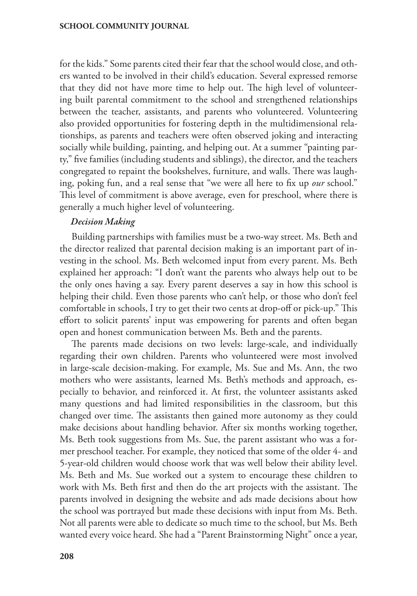for the kids." Some parents cited their fear that the school would close, and others wanted to be involved in their child's education. Several expressed remorse that they did not have more time to help out. The high level of volunteering built parental commitment to the school and strengthened relationships between the teacher, assistants, and parents who volunteered. Volunteering also provided opportunities for fostering depth in the multidimensional relationships, as parents and teachers were often observed joking and interacting socially while building, painting, and helping out. At a summer "painting party," five families (including students and siblings), the director, and the teachers congregated to repaint the bookshelves, furniture, and walls. There was laughing, poking fun, and a real sense that "we were all here to fix up *our* school." This level of commitment is above average, even for preschool, where there is generally a much higher level of volunteering.

#### *Decision Making*

Building partnerships with families must be a two-way street. Ms. Beth and the director realized that parental decision making is an important part of investing in the school. Ms. Beth welcomed input from every parent. Ms. Beth explained her approach: "I don't want the parents who always help out to be the only ones having a say. Every parent deserves a say in how this school is helping their child. Even those parents who can't help, or those who don't feel comfortable in schools, I try to get their two cents at drop-off or pick-up." This effort to solicit parents' input was empowering for parents and often began open and honest communication between Ms. Beth and the parents.

The parents made decisions on two levels: large-scale, and individually regarding their own children. Parents who volunteered were most involved in large-scale decision-making. For example, Ms. Sue and Ms. Ann, the two mothers who were assistants, learned Ms. Beth's methods and approach, especially to behavior, and reinforced it. At first, the volunteer assistants asked many questions and had limited responsibilities in the classroom, but this changed over time. The assistants then gained more autonomy as they could make decisions about handling behavior. After six months working together, Ms. Beth took suggestions from Ms. Sue, the parent assistant who was a former preschool teacher. For example, they noticed that some of the older 4- and 5-year-old children would choose work that was well below their ability level. Ms. Beth and Ms. Sue worked out a system to encourage these children to work with Ms. Beth first and then do the art projects with the assistant. The parents involved in designing the website and ads made decisions about how the school was portrayed but made these decisions with input from Ms. Beth. Not all parents were able to dedicate so much time to the school, but Ms. Beth wanted every voice heard. She had a "Parent Brainstorming Night" once a year,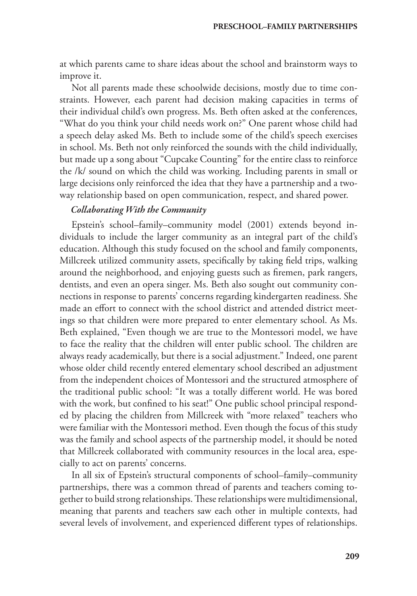at which parents came to share ideas about the school and brainstorm ways to improve it.

Not all parents made these schoolwide decisions, mostly due to time constraints. However, each parent had decision making capacities in terms of their individual child's own progress. Ms. Beth often asked at the conferences, "What do you think your child needs work on?" One parent whose child had a speech delay asked Ms. Beth to include some of the child's speech exercises in school. Ms. Beth not only reinforced the sounds with the child individually, but made up a song about "Cupcake Counting" for the entire class to reinforce the /k/ sound on which the child was working. Including parents in small or large decisions only reinforced the idea that they have a partnership and a twoway relationship based on open communication, respect, and shared power.

### *Collaborating With the Community*

Epstein's school–family–community model (2001) extends beyond individuals to include the larger community as an integral part of the child's education. Although this study focused on the school and family components, Millcreek utilized community assets, specifically by taking field trips, walking around the neighborhood, and enjoying guests such as firemen, park rangers, dentists, and even an opera singer. Ms. Beth also sought out community connections in response to parents' concerns regarding kindergarten readiness. She made an effort to connect with the school district and attended district meetings so that children were more prepared to enter elementary school. As Ms. Beth explained, "Even though we are true to the Montessori model, we have to face the reality that the children will enter public school. The children are always ready academically, but there is a social adjustment." Indeed, one parent whose older child recently entered elementary school described an adjustment from the independent choices of Montessori and the structured atmosphere of the traditional public school: "It was a totally different world. He was bored with the work, but confined to his seat!" One public school principal responded by placing the children from Millcreek with "more relaxed" teachers who were familiar with the Montessori method. Even though the focus of this study was the family and school aspects of the partnership model, it should be noted that Millcreek collaborated with community resources in the local area, especially to act on parents' concerns.

In all six of Epstein's structural components of school–family–community partnerships, there was a common thread of parents and teachers coming together to build strong relationships. These relationships were multidimensional, meaning that parents and teachers saw each other in multiple contexts, had several levels of involvement, and experienced different types of relationships.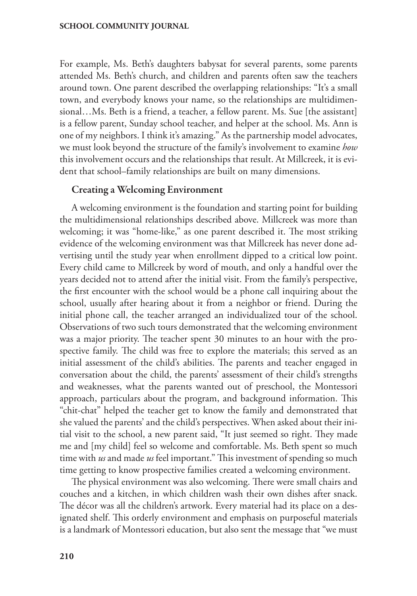For example, Ms. Beth's daughters babysat for several parents, some parents attended Ms. Beth's church, and children and parents often saw the teachers around town. One parent described the overlapping relationships: "It's a small town, and everybody knows your name, so the relationships are multidimensional…Ms. Beth is a friend, a teacher, a fellow parent. Ms. Sue [the assistant] is a fellow parent, Sunday school teacher, and helper at the school. Ms. Ann is one of my neighbors. I think it's amazing." As the partnership model advocates, we must look beyond the structure of the family's involvement to examine *how*  this involvement occurs and the relationships that result. At Millcreek, it is evident that school–family relationships are built on many dimensions.

### Creating a Welcoming Environment

A welcoming environment is the foundation and starting point for building the multidimensional relationships described above. Millcreek was more than welcoming; it was "home-like," as one parent described it. The most striking evidence of the welcoming environment was that Millcreek has never done advertising until the study year when enrollment dipped to a critical low point. Every child came to Millcreek by word of mouth, and only a handful over the years decided not to attend after the initial visit. From the family's perspective, the first encounter with the school would be a phone call inquiring about the school, usually after hearing about it from a neighbor or friend. During the initial phone call, the teacher arranged an individualized tour of the school. Observations of two such tours demonstrated that the welcoming environment was a major priority. The teacher spent 30 minutes to an hour with the prospective family. The child was free to explore the materials; this served as an initial assessment of the child's abilities. The parents and teacher engaged in conversation about the child, the parents' assessment of their child's strengths and weaknesses, what the parents wanted out of preschool, the Montessori approach, particulars about the program, and background information. This "chit-chat" helped the teacher get to know the family and demonstrated that she valued the parents' and the child's perspectives. When asked about their initial visit to the school, a new parent said, "It just seemed so right. They made me and [my child] feel so welcome and comfortable. Ms. Beth spent so much time with *us* and made *us* feel important." This investment of spending so much time getting to know prospective families created a welcoming environment.

The physical environment was also welcoming. There were small chairs and couches and a kitchen, in which children wash their own dishes after snack. The décor was all the children's artwork. Every material had its place on a designated shelf. This orderly environment and emphasis on purposeful materials is a landmark of Montessori education, but also sent the message that "we must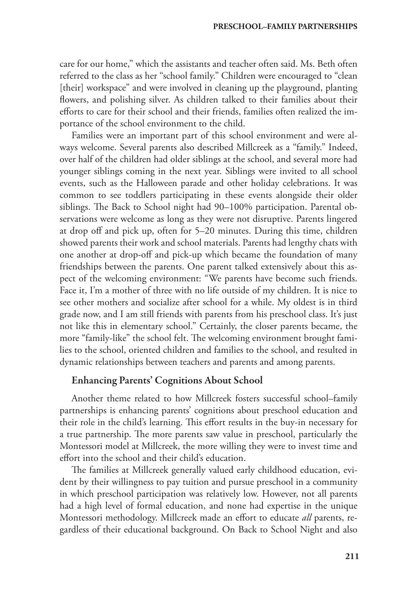care for our home," which the assistants and teacher often said. Ms. Beth often referred to the class as her "school family." Children were encouraged to "clean [their] workspace" and were involved in cleaning up the playground, planting flowers, and polishing silver. As children talked to their families about their efforts to care for their school and their friends, families often realized the importance of the school environment to the child.

Families were an important part of this school environment and were always welcome. Several parents also described Millcreek as a "family." Indeed, over half of the children had older siblings at the school, and several more had younger siblings coming in the next year. Siblings were invited to all school events, such as the Halloween parade and other holiday celebrations. It was common to see toddlers participating in these events alongside their older siblings. The Back to School night had 90–100% participation. Parental observations were welcome as long as they were not disruptive. Parents lingered at drop off and pick up, often for 5–20 minutes. During this time, children showed parents their work and school materials. Parents had lengthy chats with one another at drop-off and pick-up which became the foundation of many friendships between the parents. One parent talked extensively about this aspect of the welcoming environment: "We parents have become such friends. Face it, I'm a mother of three with no life outside of my children. It is nice to see other mothers and socialize after school for a while. My oldest is in third grade now, and I am still friends with parents from his preschool class. It's just not like this in elementary school." Certainly, the closer parents became, the more "family-like" the school felt. The welcoming environment brought families to the school, oriented children and families to the school, and resulted in dynamic relationships between teachers and parents and among parents.

#### Enhancing Parents' Cognitions About School

Another theme related to how Millcreek fosters successful school–family partnerships is enhancing parents' cognitions about preschool education and their role in the child's learning. This effort results in the buy-in necessary for a true partnership. The more parents saw value in preschool, particularly the Montessori model at Millcreek, the more willing they were to invest time and effort into the school and their child's education.

The families at Millcreek generally valued early childhood education, evident by their willingness to pay tuition and pursue preschool in a community in which preschool participation was relatively low. However, not all parents had a high level of formal education, and none had expertise in the unique Montessori methodology. Millcreek made an effort to educate *all* parents, regardless of their educational background. On Back to School Night and also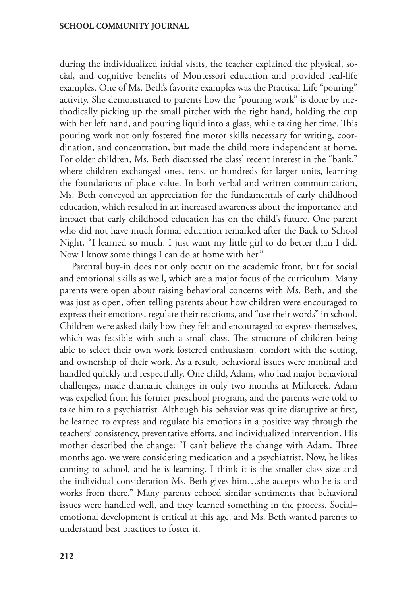during the individualized initial visits, the teacher explained the physical, social, and cognitive benefits of Montessori education and provided real-life examples. One of Ms. Beth's favorite examples was the Practical Life "pouring" activity. She demonstrated to parents how the "pouring work" is done by methodically picking up the small pitcher with the right hand, holding the cup with her left hand, and pouring liquid into a glass, while taking her time. This pouring work not only fostered fine motor skills necessary for writing, coordination, and concentration, but made the child more independent at home. For older children, Ms. Beth discussed the class' recent interest in the "bank," where children exchanged ones, tens, or hundreds for larger units, learning the foundations of place value. In both verbal and written communication, Ms. Beth conveyed an appreciation for the fundamentals of early childhood education, which resulted in an increased awareness about the importance and impact that early childhood education has on the child's future. One parent who did not have much formal education remarked after the Back to School Night, "I learned so much. I just want my little girl to do better than I did. Now I know some things I can do at home with her."

Parental buy-in does not only occur on the academic front, but for social and emotional skills as well, which are a major focus of the curriculum. Many parents were open about raising behavioral concerns with Ms. Beth, and she was just as open, often telling parents about how children were encouraged to express their emotions, regulate their reactions, and "use their words" in school. Children were asked daily how they felt and encouraged to express themselves, which was feasible with such a small class. The structure of children being able to select their own work fostered enthusiasm, comfort with the setting, and ownership of their work. As a result, behavioral issues were minimal and handled quickly and respectfully. One child, Adam, who had major behavioral challenges, made dramatic changes in only two months at Millcreek. Adam was expelled from his former preschool program, and the parents were told to take him to a psychiatrist. Although his behavior was quite disruptive at first, he learned to express and regulate his emotions in a positive way through the teachers' consistency, preventative efforts, and individualized intervention. His mother described the change: "I can't believe the change with Adam. Three months ago, we were considering medication and a psychiatrist. Now, he likes coming to school, and he is learning. I think it is the smaller class size and the individual consideration Ms. Beth gives him…she accepts who he is and works from there." Many parents echoed similar sentiments that behavioral issues were handled well, and they learned something in the process. Social– emotional development is critical at this age, and Ms. Beth wanted parents to understand best practices to foster it.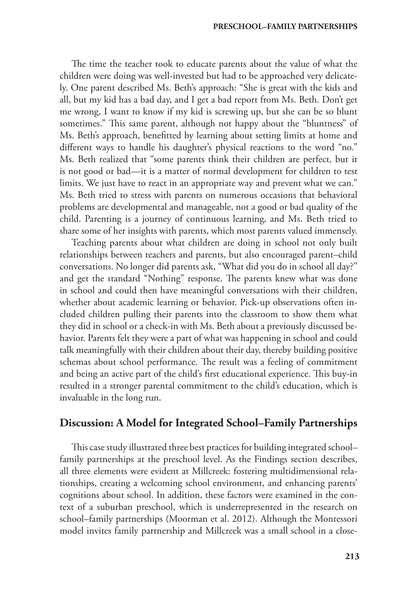The time the teacher took to educate parents about the value of what the children were doing was well-invested but had to be approached very delicately. One parent described Ms. Beth's approach: "She is great with the kids and all, but my kid has a bad day, and I get a bad report from Ms. Beth. Don't get me wrong, I want to know if my kid is screwing up, but she can be so blunt sometimes." This same parent, although not happy about the "bluntness" of Ms. Beth's approach, benefitted by learning about setting limits at home and different ways to handle his daughter's physical reactions to the word "no." Ms. Beth realized that "some parents think their children are perfect, but it is not good or bad—it is a matter of normal development for children to test limits. We just have to react in an appropriate way and prevent what we can." Ms. Beth tried to stress with parents on numerous occasions that behavioral problems are developmental and manageable, not a good or bad quality of the child. Parenting is a journey of continuous learning, and Ms. Beth tried to share some of her insights with parents, which most parents valued immensely.

Teaching parents about what children are doing in school not only built relationships between teachers and parents, but also encouraged parent–child conversations. No longer did parents ask, "What did you do in school all day?" and get the standard "Nothing" response. The parents knew what was done in school and could then have meaningful conversations with their children, whether about academic learning or behavior. Pick-up observations often included children pulling their parents into the classroom to show them what they did in school or a check-in with Ms. Beth about a previously discussed behavior. Parents felt they were a part of what was happening in school and could talk meaningfully with their children about their day, thereby building positive schemas about school performance. The result was a feeling of commitment and being an active part of the child's first educational experience. This buy-in resulted in a stronger parental commitment to the child's education, which is invaluable in the long run.

## **Discussion: A Model for Integrated School–Family Partnerships**

This case study illustrated three best practices for building integrated school– family partnerships at the preschool level. As the Findings section describes, all three elements were evident at Millcreek: fostering multidimensional relationships, creating a welcoming school environment, and enhancing parents' cognitions about school. In addition, these factors were examined in the context of a suburban preschool, which is underrepresented in the research on school–family partnerships (Moorman et al. 2012). Although the Montessori model invites family partnership and Millcreek was a small school in a close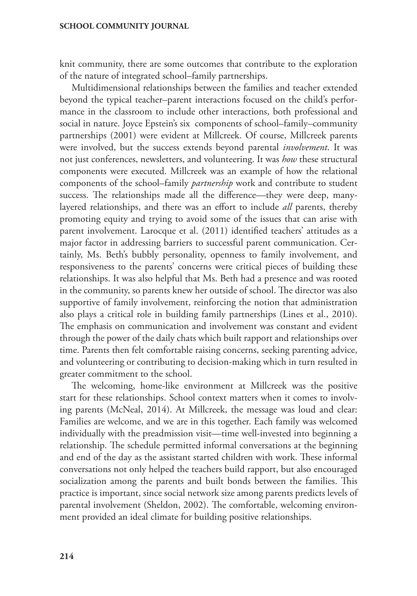knit community, there are some outcomes that contribute to the exploration of the nature of integrated school–family partnerships.

Multidimensional relationships between the families and teacher extended beyond the typical teacher–parent interactions focused on the child's performance in the classroom to include other interactions, both professional and social in nature. Joyce Epstein's six components of school–family–community partnerships (2001) were evident at Millcreek. Of course, Millcreek parents were involved, but the success extends beyond parental *involvement*. It was not just conferences, newsletters, and volunteering. It was *how* these structural components were executed. Millcreek was an example of how the relational components of the school–family *partnership* work and contribute to student success. The relationships made all the difference—they were deep, manylayered relationships, and there was an effort to include *all* parents, thereby promoting equity and trying to avoid some of the issues that can arise with parent involvement. Larocque et al. (2011) identified teachers' attitudes as a major factor in addressing barriers to successful parent communication. Certainly, Ms. Beth's bubbly personality, openness to family involvement, and responsiveness to the parents' concerns were critical pieces of building these relationships. It was also helpful that Ms. Beth had a presence and was rooted in the community, so parents knew her outside of school. The director was also supportive of family involvement, reinforcing the notion that administration also plays a critical role in building family partnerships (Lines et al., 2010). The emphasis on communication and involvement was constant and evident through the power of the daily chats which built rapport and relationships over time. Parents then felt comfortable raising concerns, seeking parenting advice, and volunteering or contributing to decision-making which in turn resulted in greater commitment to the school.

The welcoming, home-like environment at Millcreek was the positive start for these relationships. School context matters when it comes to involving parents (McNeal, 2014). At Millcreek, the message was loud and clear: Families are welcome, and we are in this together. Each family was welcomed individually with the preadmission visit—time well-invested into beginning a relationship. The schedule permitted informal conversations at the beginning and end of the day as the assistant started children with work. These informal conversations not only helped the teachers build rapport, but also encouraged socialization among the parents and built bonds between the families. This practice is important, since social network size among parents predicts levels of parental involvement (Sheldon, 2002). The comfortable, welcoming environment provided an ideal climate for building positive relationships.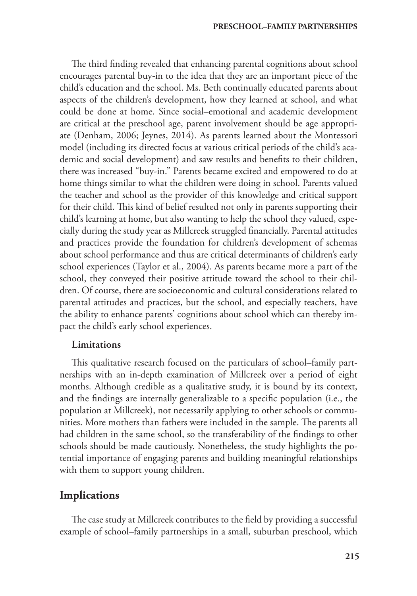The third finding revealed that enhancing parental cognitions about school encourages parental buy-in to the idea that they are an important piece of the child's education and the school. Ms. Beth continually educated parents about aspects of the children's development, how they learned at school, and what could be done at home. Since social–emotional and academic development are critical at the preschool age, parent involvement should be age appropriate (Denham, 2006; Jeynes, 2014). As parents learned about the Montessori model (including its directed focus at various critical periods of the child's academic and social development) and saw results and benefits to their children, there was increased "buy-in." Parents became excited and empowered to do at home things similar to what the children were doing in school. Parents valued the teacher and school as the provider of this knowledge and critical support for their child. This kind of belief resulted not only in parents supporting their child's learning at home, but also wanting to help the school they valued, especially during the study year as Millcreek struggled financially. Parental attitudes and practices provide the foundation for children's development of schemas about school performance and thus are critical determinants of children's early school experiences (Taylor et al., 2004). As parents became more a part of the school, they conveyed their positive attitude toward the school to their children. Of course, there are socioeconomic and cultural considerations related to parental attitudes and practices, but the school, and especially teachers, have the ability to enhance parents' cognitions about school which can thereby impact the child's early school experiences.

#### Limitations

This qualitative research focused on the particulars of school–family partnerships with an in-depth examination of Millcreek over a period of eight months. Although credible as a qualitative study, it is bound by its context, and the findings are internally generalizable to a specific population (i.e., the population at Millcreek), not necessarily applying to other schools or communities. More mothers than fathers were included in the sample. The parents all had children in the same school, so the transferability of the findings to other schools should be made cautiously. Nonetheless, the study highlights the potential importance of engaging parents and building meaningful relationships with them to support young children.

## **Implications**

The case study at Millcreek contributes to the field by providing a successful example of school–family partnerships in a small, suburban preschool, which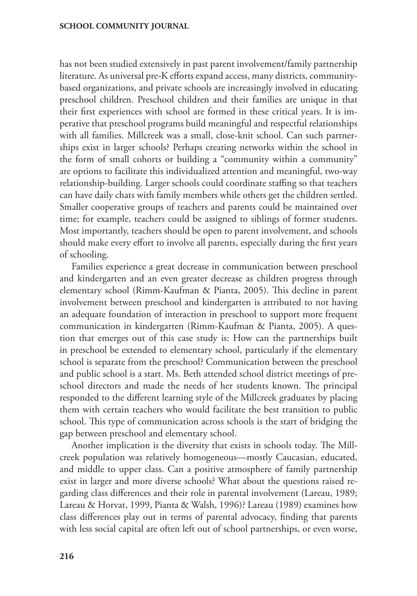has not been studied extensively in past parent involvement/family partnership literature. As universal pre-K efforts expand access, many districts, communitybased organizations, and private schools are increasingly involved in educating preschool children. Preschool children and their families are unique in that their first experiences with school are formed in these critical years. It is imperative that preschool programs build meaningful and respectful relationships with all families. Millcreek was a small, close-knit school. Can such partnerships exist in larger schools? Perhaps creating networks within the school in the form of small cohorts or building a "community within a community" are options to facilitate this individualized attention and meaningful, two-way relationship-building. Larger schools could coordinate staffing so that teachers can have daily chats with family members while others get the children settled. Smaller cooperative groups of teachers and parents could be maintained over time; for example, teachers could be assigned to siblings of former students. Most importantly, teachers should be open to parent involvement, and schools should make every effort to involve all parents, especially during the first years of schooling.

Families experience a great decrease in communication between preschool and kindergarten and an even greater decrease as children progress through elementary school (Rimm-Kaufman & Pianta, 2005). This decline in parent involvement between preschool and kindergarten is attributed to not having an adequate foundation of interaction in preschool to support more frequent communication in kindergarten (Rimm-Kaufman & Pianta, 2005). A question that emerges out of this case study is: How can the partnerships built in preschool be extended to elementary school, particularly if the elementary school is separate from the preschool? Communication between the preschool and public school is a start. Ms. Beth attended school district meetings of preschool directors and made the needs of her students known. The principal responded to the different learning style of the Millcreek graduates by placing them with certain teachers who would facilitate the best transition to public school. This type of communication across schools is the start of bridging the gap between preschool and elementary school.

Another implication is the diversity that exists in schools today. The Millcreek population was relatively homogeneous—mostly Caucasian, educated, and middle to upper class. Can a positive atmosphere of family partnership exist in larger and more diverse schools? What about the questions raised regarding class differences and their role in parental involvement (Lareau, 1989; Lareau & Horvat, 1999, Pianta & Walsh, 1996)? Lareau (1989) examines how class differences play out in terms of parental advocacy, finding that parents with less social capital are often left out of school partnerships, or even worse,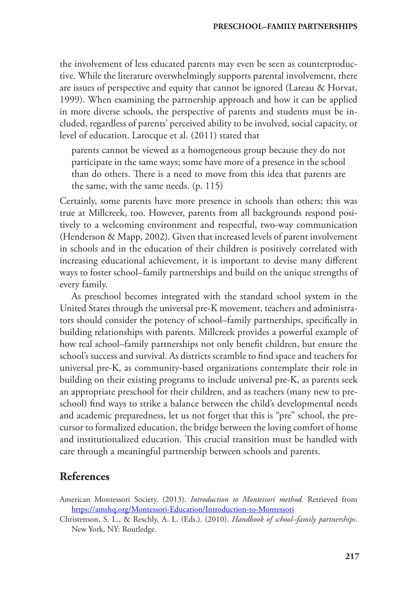the involvement of less educated parents may even be seen as counterproductive. While the literature overwhelmingly supports parental involvement, there are issues of perspective and equity that cannot be ignored (Lareau & Horvat, 1999). When examining the partnership approach and how it can be applied in more diverse schools, the perspective of parents and students must be included, regardless of parents' perceived ability to be involved, social capacity, or level of education. Larocque et al. (2011) stated that

parents cannot be viewed as a homogeneous group because they do not participate in the same ways; some have more of a presence in the school than do others. There is a need to move from this idea that parents are the same, with the same needs. (p. 115)

Certainly, some parents have more presence in schools than others; this was true at Millcreek, too. However, parents from all backgrounds respond positively to a welcoming environment and respectful, two-way communication (Henderson & Mapp, 2002). Given that increased levels of parent involvement in schools and in the education of their children is positively correlated with increasing educational achievement, it is important to devise many different ways to foster school–family partnerships and build on the unique strengths of every family.

As preschool becomes integrated with the standard school system in the United States through the universal pre-K movement, teachers and administrators should consider the potency of school–family partnerships, specifically in building relationships with parents. Millcreek provides a powerful example of how real school–family partnerships not only benefit children, but ensure the school's success and survival. As districts scramble to find space and teachers for universal pre-K, as community-based organizations contemplate their role in building on their existing programs to include universal pre-K, as parents seek an appropriate preschool for their children, and as teachers (many new to preschool) find ways to strike a balance between the child's developmental needs and academic preparedness, let us not forget that this is "pre" school, the precursor to formalized education, the bridge between the loving comfort of home and institutionalized education. This crucial transition must be handled with care through a meaningful partnership between schools and parents.

# **References**

American Montessori Society. (2013). *Introduction to Montessori method.* Retrieved from <https://amshq.org/Montessori-Education/Introduction-to-Montessori>

Christenson, S. L., & Reschly, A. L. (Eds.). (2010). *Handbook of school–family partnerships*. New York, NY: Routledge.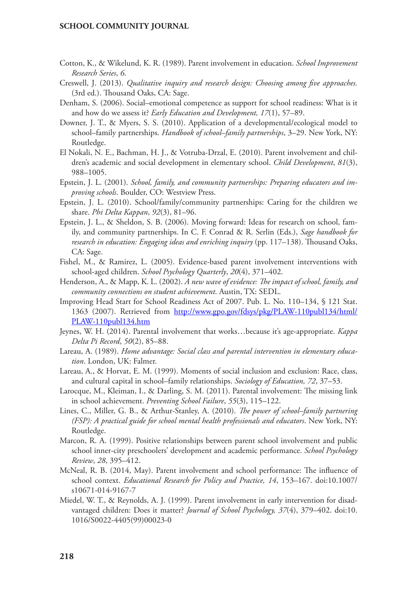- Cotton, K., & Wikelund, K. R. (1989). Parent involvement in education. *School Improvement Research Series*, *6*.
- Creswell, J. (2013). *Qualitative inquiry and research design: Choosing among five approaches.*  (3rd ed.). Thousand Oaks, CA: Sage.
- Denham, S. (2006). Social–emotional competence as support for school readiness: What is it and how do we assess it? *Early Education and Development, 17*(1), 57–89.
- Downer, J. T., & Myers, S. S. (2010). Application of a developmental/ecological model to school–family partnerships. *Handbook of school–family partnerships*, 3–29. New York, NY: Routledge.
- El Nokali, N. E., Bachman, H. J., & Votruba‐Drzal, E. (2010). Parent involvement and children's academic and social development in elementary school. *Child Development*, *81*(3), 988–1005.
- Epstein, J. L. (2001). *School, family, and community partnerships: Preparing educators and improving schools*. Boulder, CO: Westview Press.
- Epstein, J. L. (2010). School/family/community partnerships: Caring for the children we share. *Phi Delta Kappan*, *92*(3), 81–96.
- Epstein, J. L., & Sheldon, S. B. (2006). Moving forward: Ideas for research on school, family, and community partnerships. In C. F. Conrad & R. Serlin (Eds.), *Sage handbook for research in education: Engaging ideas and enriching inquiry* (pp. 117–138). Thousand Oaks, CA: Sage.
- Fishel, M., & Ramirez, L. (2005). Evidence-based parent involvement interventions with school-aged children. *School Psychology Quarterly*, *20*(4), 371–402.
- Henderson, A., & Mapp, K. L. (2002). *A new wave of evidence: The impact of school, family, and community connections on student achievement*. Austin, TX: SEDL.
- Improving Head Start for School Readiness Act of 2007. Pub. L. No. 110–134, § 121 Stat. 1363 (2007). Retrieved from [http://www.gpo.gov/fdsys/pkg/PLAW-110publ134/html/](http://www.gpo.gov/fdsys/pkg/PLAW-110publ134/html/PLAW-110publ134.htm) [PLAW-110publ134.htm](http://www.gpo.gov/fdsys/pkg/PLAW-110publ134/html/PLAW-110publ134.htm)
- Jeynes, W. H. (2014). Parental involvement that works…because it's age-appropriate. *Kappa Delta Pi Record*, *50*(2), 85–88.
- Lareau, A. (1989). *Home advantage: Social class and parental intervention in elementary education*. London, UK: Falmer.
- Lareau, A., & Horvat, E. M. (1999). Moments of social inclusion and exclusion: Race, class, and cultural capital in school–family relationships. *Sociology of Education, 72*, 37–53.
- Larocque, M., Kleiman, I., & Darling, S. M. (2011). Parental involvement: The missing link in school achievement. *Preventing School Failure*, *55*(3), 115–122.
- Lines, C., Miller, G. B., & Arthur-Stanley, A. (2010). *The power of school–family partnering (FSP): A practical guide for school mental health professionals and educators*. New York, NY: Routledge.
- Marcon, R. A. (1999). Positive relationships between parent school involvement and public school inner-city preschoolers' development and academic performance. *School Psychology Review*, *28*, 395–412.
- McNeal, R. B. (2014, May). Parent involvement and school performance: The influence of school context. *Educational Research for Policy and Practice, 14*, 153–167. doi:10.1007/ s10671-014-9167-7
- Miedel, W. T., & Reynolds, A. J. (1999). Parent involvement in early intervention for disadvantaged children: Does it matter? *Journal of School Psychology, 37*(4), 379–402. doi:10. 1016/S0022-4405(99)00023-0